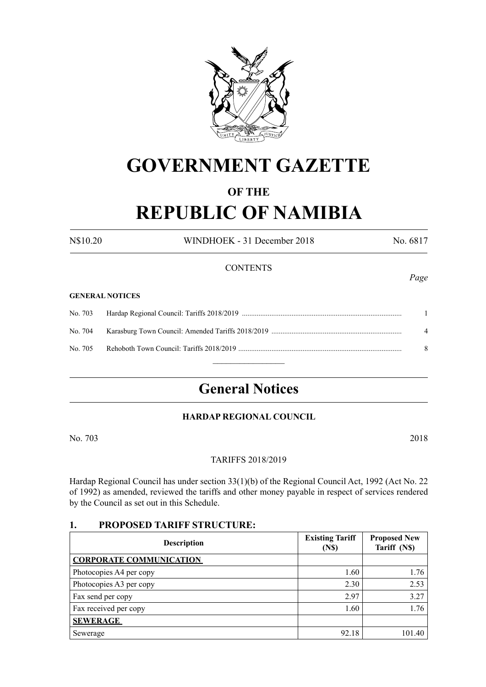

# **GOVERNMENT GAZETTE**

# **OF THE**

# **REPUBLIC OF NAMIBIA**

N\$10.20 WINDHOEK - 31 December 2018 No. 6817

# **CONTENTS**

#### **GENERAL NOTICES**

|  | $\mathbf{\Delta}$ |
|--|-------------------|
|  | 8                 |
|  |                   |

# **General Notices**

# **HARDAP REGIONAL COUNCIL**

No. 703 2018

# TARIFFS 2018/2019

Hardap Regional Council has under section 33(1)(b) of the Regional Council Act, 1992 (Act No. 22 of 1992) as amended, reviewed the tariffs and other money payable in respect of services rendered by the Council as set out in this Schedule.

# **1. PROPOSED TARIFF STRUCTURE:**

| <b>Description</b>             | <b>Existing Tariff</b><br>(N <sub>s</sub> ) | <b>Proposed New</b><br>Tariff (N\$) |
|--------------------------------|---------------------------------------------|-------------------------------------|
| <b>CORPORATE COMMUNICATION</b> |                                             |                                     |
| Photocopies A4 per copy        | 1.60                                        | 1.76                                |
| Photocopies A3 per copy        | 2.30                                        | 2.53                                |
| Fax send per copy              | 2.97                                        | 3.27                                |
| Fax received per copy          | 1.60                                        | 1.76                                |
| <b>SEWERAGE</b>                |                                             |                                     |
| Sewerage                       | 92.18                                       | 101.40                              |

*Page*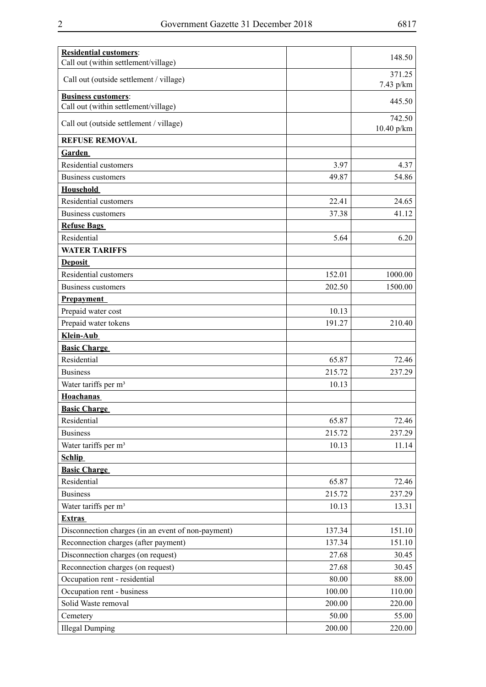| <b>Residential customers:</b>                                      |        | 148.50                 |
|--------------------------------------------------------------------|--------|------------------------|
| Call out (within settlement/village)                               |        |                        |
| Call out (outside settlement / village)                            |        | 371.25<br>7.43 p/km    |
| <b>Business customers:</b><br>Call out (within settlement/village) |        | 445.50                 |
| Call out (outside settlement / village)                            |        | 742.50<br>$10.40$ p/km |
| <b>REFUSE REMOVAL</b>                                              |        |                        |
| <b>Garden</b>                                                      |        |                        |
| Residential customers                                              | 3.97   | 4.37                   |
| <b>Business customers</b>                                          | 49.87  | 54.86                  |
| <b>Household</b>                                                   |        |                        |
| Residential customers                                              | 22.41  | 24.65                  |
| Business customers                                                 | 37.38  | 41.12                  |
| <b>Refuse Bags</b>                                                 |        |                        |
| Residential                                                        | 5.64   | 6.20                   |
| <b>WATER TARIFFS</b>                                               |        |                        |
| <b>Deposit</b>                                                     |        |                        |
| Residential customers                                              | 152.01 | 1000.00                |
| Business customers                                                 | 202.50 | 1500.00                |
| <b>Prepayment</b>                                                  |        |                        |
| Prepaid water cost                                                 | 10.13  |                        |
| Prepaid water tokens                                               | 191.27 | 210.40                 |
| Klein-Aub                                                          |        |                        |
| <b>Basic Charge</b>                                                |        |                        |
| Residential                                                        | 65.87  | 72.46                  |
| <b>Business</b>                                                    | 215.72 | 237.29                 |
| Water tariffs per m <sup>3</sup>                                   | 10.13  |                        |
| <b>Hoachanas</b>                                                   |        |                        |
| <b>Basic Charge</b>                                                |        |                        |
| Residential                                                        | 65.87  | 72.46                  |
| <b>Business</b>                                                    | 215.72 | 237.29                 |
| Water tariffs per m <sup>3</sup>                                   | 10.13  | 11.14                  |
| <b>Schlip</b>                                                      |        |                        |
| <b>Basic Charge</b>                                                |        |                        |
| Residential                                                        | 65.87  | 72.46                  |
| <b>Business</b>                                                    | 215.72 | 237.29                 |
| Water tariffs per m <sup>3</sup>                                   | 10.13  | 13.31                  |
| <b>Extras</b>                                                      |        |                        |
| Disconnection charges (in an event of non-payment)                 | 137.34 | 151.10                 |
| Reconnection charges (after payment)                               | 137.34 | 151.10                 |
| Disconnection charges (on request)                                 | 27.68  | 30.45                  |
| Reconnection charges (on request)                                  | 27.68  | 30.45                  |
| Occupation rent - residential                                      | 80.00  | 88.00                  |
| Occupation rent - business                                         | 100.00 | 110.00                 |
| Solid Waste removal                                                | 200.00 | 220.00                 |
| Cemetery                                                           | 50.00  | 55.00                  |
| <b>Illegal Dumping</b>                                             | 200.00 | 220.00                 |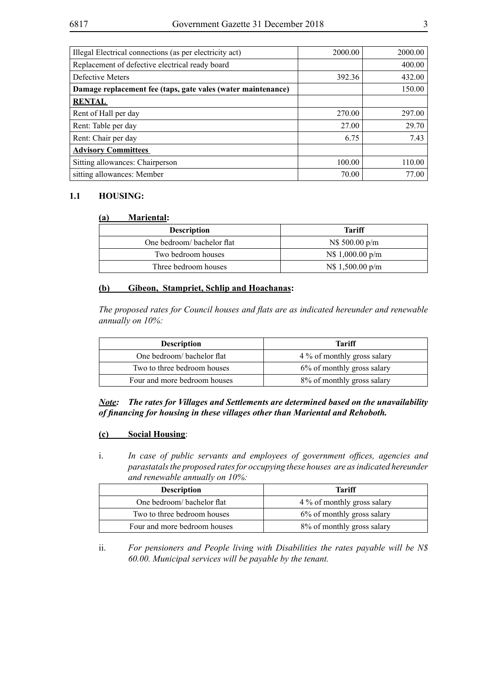| Illegal Electrical connections (as per electricity act)      | 2000.00 | 2000.00 |
|--------------------------------------------------------------|---------|---------|
| Replacement of defective electrical ready board              |         | 400.00  |
| Defective Meters                                             | 392.36  | 432.00  |
| Damage replacement fee (taps, gate vales (water maintenance) |         | 150.00  |
| <b>RENTAL</b>                                                |         |         |
| Rent of Hall per day                                         | 270.00  | 297.00  |
| Rent: Table per day                                          | 27.00   | 29.70   |
| Rent: Chair per day                                          | 6.75    | 7.43    |
| <b>Advisory Committees</b>                                   |         |         |
| Sitting allowances: Chairperson                              | 100.00  | 110.00  |
| sitting allowances: Member                                   | 70.00   | 77.00   |

#### **1.1 HOUSING:**

#### **(a) Mariental:**

| <b>Description</b>         | Tariff                 |
|----------------------------|------------------------|
| One bedroom/ bachelor flat | $\text{NS}$ 500.00 p/m |
| Two bedroom houses         | N\$1,000.00 p/m        |
| Three bedroom houses       | N\$ 1,500.00 p/m       |

#### **(b) Gibeon, Stampriet, Schlip and Hoachanas:**

*The proposed rates for Council houses and flats are as indicated hereunder and renewable annually on 10%:*

| <b>Description</b>           | Tariff                      |
|------------------------------|-----------------------------|
| One bedroom/ bachelor flat   | 4 % of monthly gross salary |
| Two to three bedroom houses  | 6% of monthly gross salary  |
| Four and more bedroom houses | 8% of monthly gross salary  |

*Note: The rates for Villages and Settlements are determined based on the unavailability of financing for housing in these villages other than Mariental and Rehoboth.* 

#### **(c) Social Housing**:

i. *In case of public servants and employees of government offices, agencies and parastatals the proposed rates for occupying these houses are as indicated hereunder and renewable annually on 10%:*

| <b>Description</b>           | <b>Tariff</b>               |
|------------------------------|-----------------------------|
| One bedroom/ bachelor flat   | 4 % of monthly gross salary |
| Two to three bedroom houses  | 6% of monthly gross salary  |
| Four and more bedroom houses | 8% of monthly gross salary  |

ii. *For pensioners and People living with Disabilities the rates payable will be N\$ 60.00. Municipal services will be payable by the tenant.*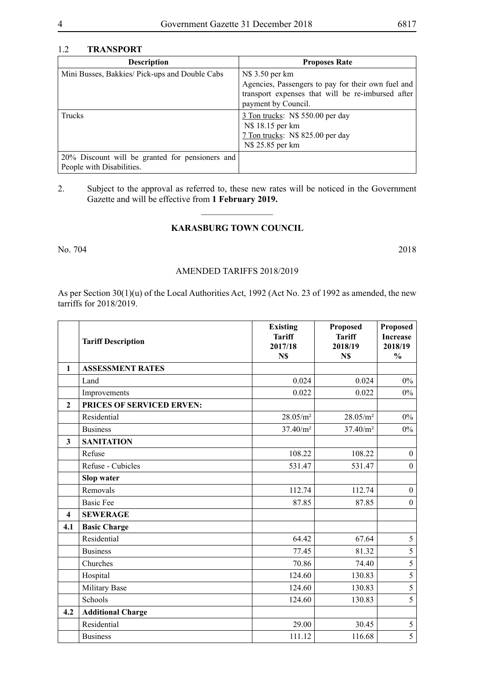#### 1.2 **TRANSPORT**

| <b>Description</b>                                                           | <b>Proposes Rate</b>                                                                                                                              |
|------------------------------------------------------------------------------|---------------------------------------------------------------------------------------------------------------------------------------------------|
| Mini Busses, Bakkies/Pick-ups and Double Cabs                                | N\$ 3.50 per km<br>Agencies, Passengers to pay for their own fuel and<br>transport expenses that will be re-imbursed after<br>payment by Council. |
| <b>Trucks</b>                                                                | 3 Ton trucks: N\$ 550.00 per day<br>N\$ 18.15 per km<br>7 Ton trucks: N\$ 825.00 per day<br>N\$ 25.85 per km                                      |
| 20% Discount will be granted for pensioners and<br>People with Disabilities. |                                                                                                                                                   |

# 2. Subject to the approval as referred to, these new rates will be noticed in the Government Gazette and will be effective from **1 February 2019.**

 $\frac{1}{2}$ 

# **KARASBURG TOWN COUNCIL**

No. 704 2018

#### AMENDED TARIFFS 2018/2019

As per Section 30(1)(u) of the Local Authorities Act, 1992 (Act No. 23 of 1992 as amended, the new tarriffs for 2018/2019.

|                         | <b>Tariff Description</b> | <b>Existing</b><br><b>Tariff</b><br>2017/18<br>N\$ | Proposed<br><b>Tariff</b><br>2018/19<br>N\$ | Proposed<br><b>Increase</b><br>2018/19<br>$\frac{0}{0}$ |
|-------------------------|---------------------------|----------------------------------------------------|---------------------------------------------|---------------------------------------------------------|
| $\mathbf{1}$            | <b>ASSESSMENT RATES</b>   |                                                    |                                             |                                                         |
|                         | Land                      | 0.024                                              | 0.024                                       | $0\%$                                                   |
|                         | Improvements              | 0.022                                              | 0.022                                       | $0\%$                                                   |
| $\overline{2}$          | PRICES OF SERVICED ERVEN: |                                                    |                                             |                                                         |
|                         | Residential               | 28.05/m <sup>2</sup>                               | 28.05/m <sup>2</sup>                        | $0\%$                                                   |
|                         | <b>Business</b>           | 37.40/m <sup>2</sup>                               | 37.40/m <sup>2</sup>                        | $0\%$                                                   |
| 3                       | <b>SANITATION</b>         |                                                    |                                             |                                                         |
|                         | Refuse                    | 108.22                                             | 108.22                                      | $\overline{0}$                                          |
|                         | Refuse - Cubicles         | 531.47                                             | 531.47                                      | $\mathbf{0}$                                            |
|                         | <b>Slop water</b>         |                                                    |                                             |                                                         |
|                         | Removals                  | 112.74                                             | 112.74                                      | $\mathbf{0}$                                            |
|                         | <b>Basic Fee</b>          | 87.85                                              | 87.85                                       | $\mathbf{0}$                                            |
| $\overline{\mathbf{4}}$ | <b>SEWERAGE</b>           |                                                    |                                             |                                                         |
| 4.1                     | <b>Basic Charge</b>       |                                                    |                                             |                                                         |
|                         | Residential               | 64.42                                              | 67.64                                       | 5                                                       |
|                         | <b>Business</b>           | 77.45                                              | 81.32                                       | $\overline{5}$                                          |
|                         | Churches                  | 70.86                                              | 74.40                                       | $\overline{5}$                                          |
|                         | Hospital                  | 124.60                                             | 130.83                                      | $\overline{5}$                                          |
|                         | Military Base             | 124.60                                             | 130.83                                      | $\overline{5}$                                          |
|                         | Schools                   | 124.60                                             | 130.83                                      | $\overline{5}$                                          |
| 4.2                     | <b>Additional Charge</b>  |                                                    |                                             |                                                         |
|                         | Residential               | 29.00                                              | 30.45                                       | $\mathfrak s$                                           |
|                         | <b>Business</b>           | 111.12                                             | 116.68                                      | $\overline{5}$                                          |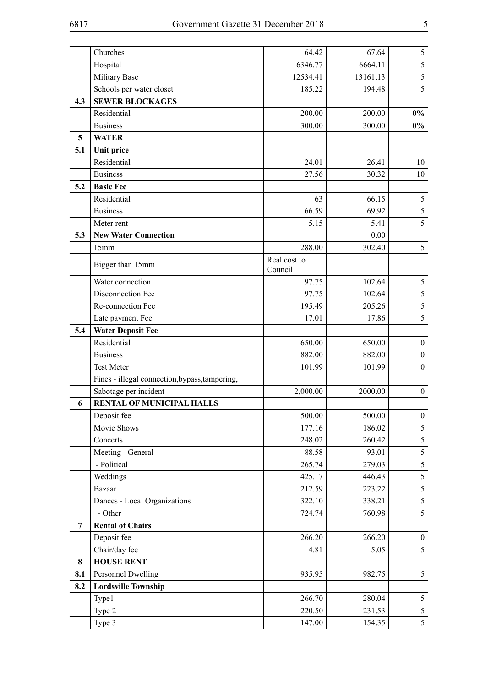|          | Churches                                         | 64.42                   | 67.64    | 5                |
|----------|--------------------------------------------------|-------------------------|----------|------------------|
|          | Hospital                                         | 6346.77                 | 6664.11  | 5                |
|          | Military Base                                    | 12534.41                | 13161.13 | 5                |
|          | Schools per water closet                         | 185.22                  | 194.48   | 5                |
| 4.3      | <b>SEWER BLOCKAGES</b>                           |                         |          |                  |
|          | Residential                                      | 200.00                  | 200.00   | $0\%$            |
|          | <b>Business</b>                                  | 300.00                  | 300.00   | $0\%$            |
| 5        | <b>WATER</b>                                     |                         |          |                  |
| 5.1      | <b>Unit price</b>                                |                         |          |                  |
|          | Residential                                      | 24.01                   | 26.41    | 10               |
|          | <b>Business</b>                                  | 27.56                   | 30.32    | 10               |
| 5.2      | <b>Basic Fee</b>                                 |                         |          |                  |
|          | Residential                                      | 63                      | 66.15    | $\mathfrak{S}$   |
|          | <b>Business</b>                                  | 66.59                   | 69.92    | 5                |
|          | Meter rent                                       | 5.15                    | 5.41     | 5                |
| 5.3      | <b>New Water Connection</b>                      |                         | 0.00     |                  |
|          | 15mm                                             | 288.00                  | 302.40   | $\mathfrak{S}$   |
|          | Bigger than 15mm                                 | Real cost to<br>Council |          |                  |
|          | Water connection                                 | 97.75                   | 102.64   | $\mathfrak{S}$   |
|          | Disconnection Fee                                | 97.75                   | 102.64   | 5                |
|          | Re-connection Fee                                | 195.49                  | 205.26   | $\mathfrak{S}$   |
|          | Late payment Fee                                 | 17.01                   | 17.86    | 5                |
| 5.4      | <b>Water Deposit Fee</b>                         |                         |          |                  |
|          | Residential                                      | 650.00                  | 650.00   | $\boldsymbol{0}$ |
|          | <b>Business</b>                                  | 882.00                  | 882.00   | $\boldsymbol{0}$ |
|          | <b>Test Meter</b>                                | 101.99                  | 101.99   | $\boldsymbol{0}$ |
|          | Fines - illegal connection, bypass, tampering,   |                         |          |                  |
|          | Sabotage per incident                            | 2,000.00                | 2000.00  | $\boldsymbol{0}$ |
| 6        | <b>RENTAL OF MUNICIPAL HALLS</b>                 |                         |          |                  |
|          | Deposit fee                                      | 500.00                  | 500.00   | $\bf{0}$         |
|          | Movie Shows                                      | 177.16                  | 186.02   | 5                |
|          | Concerts                                         | 248.02                  | 260.42   | 5                |
|          | Meeting - General                                | 88.58                   | 93.01    | $\mathfrak{S}$   |
|          | - Political                                      | 265.74                  | 279.03   | $\mathfrak{S}$   |
|          | Weddings                                         | 425.17                  | 446.43   | $5\overline{)}$  |
|          | Bazaar                                           | 212.59                  | 223.22   | 5                |
|          | Dances - Local Organizations                     | 322.10                  | 338.21   | 5                |
|          | - Other                                          | 724.74                  | 760.98   | 5                |
| 7        | <b>Rental of Chairs</b>                          |                         |          |                  |
|          | Deposit fee                                      | 266.20                  | 266.20   | $\mathbf{0}$     |
|          | Chair/day fee<br><b>HOUSE RENT</b>               | 4.81                    | 5.05     | 5                |
| 8<br>8.1 |                                                  | 935.95                  | 982.75   | 5                |
| 8.2      | Personnel Dwelling<br><b>Lordsville Township</b> |                         |          |                  |
|          | Type1                                            | 266.70                  | 280.04   | 5                |
|          | Type 2                                           | 220.50                  | 231.53   | 5                |
|          | Type 3                                           | 147.00                  | 154.35   | $5\overline{)}$  |
|          |                                                  |                         |          |                  |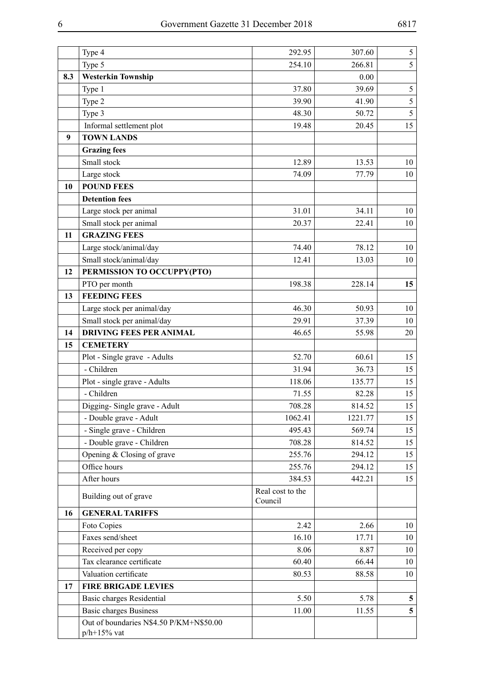|     | Type 4                                                     | 292.95                      | 307.60  | 5              |
|-----|------------------------------------------------------------|-----------------------------|---------|----------------|
|     | Type 5                                                     | 254.10                      | 266.81  | 5              |
| 8.3 | <b>Westerkin Township</b>                                  |                             | 0.00    |                |
|     | Type 1                                                     | 37.80                       | 39.69   | $\mathfrak{S}$ |
|     | Type 2                                                     | 39.90                       | 41.90   | 5              |
|     | Type 3                                                     | 48.30                       | 50.72   | 5              |
|     | Informal settlement plot                                   | 19.48                       | 20.45   | 15             |
| 9   | <b>TOWN LANDS</b>                                          |                             |         |                |
|     | <b>Grazing fees</b>                                        |                             |         |                |
|     | Small stock                                                | 12.89                       | 13.53   | 10             |
|     | Large stock                                                | 74.09                       | 77.79   | 10             |
| 10  | <b>POUND FEES</b>                                          |                             |         |                |
|     | <b>Detention fees</b>                                      |                             |         |                |
|     | Large stock per animal                                     | 31.01                       | 34.11   | 10             |
|     | Small stock per animal                                     | 20.37                       | 22.41   | 10             |
| 11  | <b>GRAZING FEES</b>                                        |                             |         |                |
|     | Large stock/animal/day                                     | 74.40                       | 78.12   | 10             |
|     | Small stock/animal/day                                     | 12.41                       | 13.03   | 10             |
| 12  | PERMISSION TO OCCUPPY(PTO)                                 |                             |         |                |
|     | PTO per month                                              | 198.38                      | 228.14  | 15             |
| 13  | <b>FEEDING FEES</b>                                        |                             |         |                |
|     | Large stock per animal/day                                 | 46.30                       | 50.93   | 10             |
|     | Small stock per animal/day                                 | 29.91                       | 37.39   | 10             |
| 14  | <b>DRIVING FEES PER ANIMAL</b>                             | 46.65                       | 55.98   | 20             |
| 15  | <b>CEMETERY</b>                                            |                             |         |                |
|     | Plot - Single grave - Adults                               | 52.70                       | 60.61   | 15             |
|     | - Children                                                 | 31.94                       | 36.73   | 15             |
|     | Plot - single grave - Adults                               | 118.06                      | 135.77  | 15             |
|     | - Children                                                 | 71.55                       | 82.28   | 15             |
|     | Digging-Single grave - Adult                               | 708.28                      | 814.52  | 15             |
|     | - Double grave - Adult                                     | 1062.41                     | 1221.77 | 15             |
|     | - Single grave - Children                                  | 495.43                      | 569.74  | 15             |
|     | - Double grave - Children                                  | 708.28                      | 814.52  | 15             |
|     | Opening & Closing of grave                                 | 255.76                      | 294.12  | 15             |
|     | Office hours                                               | 255.76                      | 294.12  | 15             |
|     | After hours                                                | 384.53                      | 442.21  | 15             |
|     | Building out of grave                                      | Real cost to the<br>Council |         |                |
| 16  | <b>GENERAL TARIFFS</b>                                     |                             |         |                |
|     | Foto Copies                                                | 2.42                        | 2.66    | 10             |
|     | Faxes send/sheet                                           | 16.10                       | 17.71   | 10             |
|     | Received per copy                                          | 8.06                        | 8.87    | 10             |
|     | Tax clearance certificate                                  | 60.40                       | 66.44   | 10             |
|     | Valuation certificate                                      | 80.53                       | 88.58   | 10             |
| 17  | <b>FIRE BRIGADE LEVIES</b>                                 |                             |         |                |
|     | Basic charges Residential                                  | 5.50                        | 5.78    | 5              |
|     | <b>Basic charges Business</b>                              | 11.00                       | 11.55   | 5              |
|     | Out of boundaries N\$4.50 P/KM+N\$50.00<br>$p/h + 15%$ vat |                             |         |                |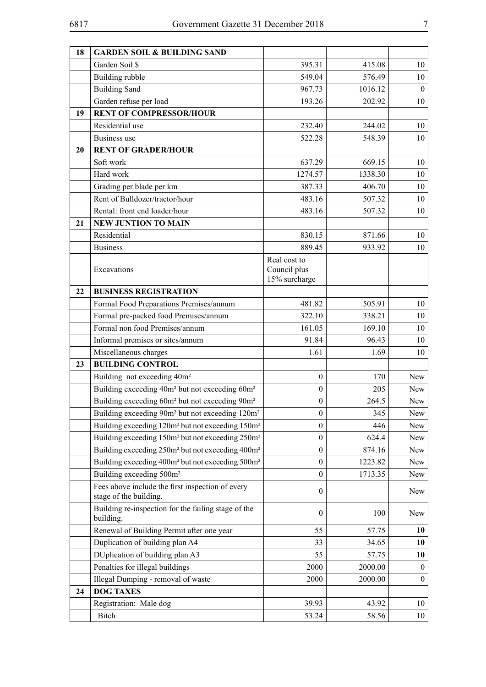| 18 | <b>GARDEN SOIL &amp; BUILDING SAND</b>                                                                                                            |                                      |              |                  |
|----|---------------------------------------------------------------------------------------------------------------------------------------------------|--------------------------------------|--------------|------------------|
|    | Garden Soil \$                                                                                                                                    | 395.31                               | 415.08       | 10               |
|    | Building rubble                                                                                                                                   | 549.04                               | 576.49       | 10               |
|    | <b>Building Sand</b>                                                                                                                              | 967.73                               | 1016.12      | $\boldsymbol{0}$ |
|    | Garden refuse per load                                                                                                                            | 193.26                               | 202.92       | 10               |
| 19 | <b>RENT OF COMPRESSOR/HOUR</b>                                                                                                                    |                                      |              |                  |
|    | Residential use                                                                                                                                   | 232.40                               | 244.02       | 10               |
|    | <b>Business</b> use                                                                                                                               | 522.28                               | 548.39       | 10               |
| 20 | <b>RENT OF GRADER/HOUR</b>                                                                                                                        |                                      |              |                  |
|    | Soft work                                                                                                                                         | 637.29                               | 669.15       | 10               |
|    | Hard work                                                                                                                                         | 1274.57                              | 1338.30      | 10               |
|    | Grading per blade per km                                                                                                                          | 387.33                               | 406.70       | 10               |
|    | Rent of Bulldozer/tractor/hour                                                                                                                    | 483.16                               | 507.32       | 10               |
|    | Rental: front end loader/hour                                                                                                                     | 483.16                               | 507.32       | 10               |
| 21 | <b>NEW JUNTION TO MAIN</b>                                                                                                                        |                                      |              |                  |
|    | Residential                                                                                                                                       | 830.15                               | 871.66       | 10               |
|    | <b>Business</b>                                                                                                                                   | 889.45                               | 933.92       | 10               |
|    |                                                                                                                                                   | Real cost to                         |              |                  |
|    | Excavations                                                                                                                                       | Council plus                         |              |                  |
| 22 | <b>BUSINESS REGISTRATION</b>                                                                                                                      | 15% surcharge                        |              |                  |
|    | Formal Food Preparations Premises/annum                                                                                                           | 481.82                               | 505.91       | 10               |
|    |                                                                                                                                                   | 322.10                               | 338.21       |                  |
|    | Formal pre-packed food Premises/annum<br>Formal non food Premises/annum                                                                           |                                      |              | 10               |
|    |                                                                                                                                                   | 161.05                               | 169.10       | 10               |
|    | Informal premises or sites/annum                                                                                                                  | 91.84                                | 96.43        | 10               |
|    | Miscellaneous charges                                                                                                                             | 1.61                                 | 1.69         | 10               |
| 23 | <b>BUILDING CONTROL</b>                                                                                                                           |                                      |              |                  |
|    | Building not exceeding 40m <sup>2</sup>                                                                                                           | $\mathbf{0}$<br>$\boldsymbol{0}$     | 170          | New              |
|    | Building exceeding 40m <sup>2</sup> but not exceeding 60m <sup>2</sup>                                                                            |                                      | 205<br>264.5 | New              |
|    | Building exceeding 60m <sup>2</sup> but not exceeding 90m <sup>2</sup><br>Building exceeding 90m <sup>2</sup> but not exceeding 120m <sup>2</sup> | $\boldsymbol{0}$<br>$\boldsymbol{0}$ | 345          | New<br>New       |
|    | Building exceeding 120m <sup>2</sup> but not exceeding 150m <sup>2</sup>                                                                          | $\boldsymbol{0}$                     | 446          | New              |
|    | Building exceeding 150m <sup>2</sup> but not exceeding 250m <sup>2</sup>                                                                          | $\boldsymbol{0}$                     | 624.4        | New              |
|    | Building exceeding 250m <sup>2</sup> but not exceeding 400m <sup>2</sup>                                                                          | $\boldsymbol{0}$                     | 874.16       | New              |
|    | Building exceeding 400m <sup>2</sup> but not exceeding 500m <sup>2</sup>                                                                          | $\boldsymbol{0}$                     | 1223.82      | New              |
|    | Building exceeding 500m <sup>2</sup>                                                                                                              | $\boldsymbol{0}$                     | 1713.35      | New              |
|    | Fees above include the first inspection of every                                                                                                  |                                      |              |                  |
|    | stage of the building.                                                                                                                            | $\mathbf{0}$                         |              | New              |
|    | Building re-inspection for the failing stage of the<br>building.                                                                                  | $\boldsymbol{0}$                     | 100          | New              |
|    | Renewal of Building Permit after one year                                                                                                         | 55                                   | 57.75        | 10               |
|    | Duplication of building plan A4                                                                                                                   | 33                                   | 34.65        | 10               |
|    | DUplication of building plan A3                                                                                                                   | 55                                   | 57.75        | 10               |
|    | Penalties for illegal buildings                                                                                                                   | 2000                                 | 2000.00      | $\mathbf{0}$     |
|    | Illegal Dumping - removal of waste                                                                                                                | 2000                                 | 2000.00      | $\boldsymbol{0}$ |
| 24 | <b>DOG TAXES</b>                                                                                                                                  |                                      |              |                  |
|    | Registration: Male dog                                                                                                                            | 39.93                                | 43.92        | 10               |
|    | Bitch                                                                                                                                             | 53.24                                | 58.56        | 10               |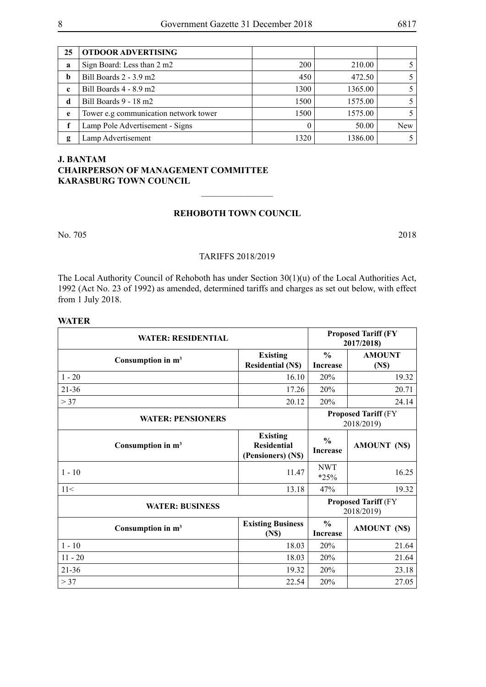| 25          | <b>OTDOOR ADVERTISING</b>             |            |         |     |
|-------------|---------------------------------------|------------|---------|-----|
| a           | Sign Board: Less than 2 m2            | <b>200</b> | 210.00  |     |
| b           | Bill Boards 2 - 3.9 m2                | 450        | 472.50  |     |
| $\mathbf c$ | Bill Boards 4 - 8.9 m2                | 1300       | 1365.00 |     |
| d           | Bill Boards 9 - 18 m2                 | 1500       | 1575.00 |     |
| e           | Tower e.g communication network tower | 1500       | 1575.00 |     |
|             | Lamp Pole Advertisement - Signs       |            | 50.00   | New |
| g           | Lamp Advertisement                    | 1320       | 1386.00 |     |

# **J. Bantam Chairperson of Management Committee Karasburg Town Council**

#### **REHOBOTH TOWN COUNCIL**

 $\frac{1}{2}$ 

No. 705 2018

#### TARIFFS 2018/2019

The Local Authority Council of Rehoboth has under Section 30(1)(u) of the Local Authorities Act, 1992 (Act No. 23 of 1992) as amended, determined tariffs and charges as set out below, with effect from 1 July 2018.

#### **WATER**

| <b>WATER: RESIDENTIAL</b> |                                                             |                                  | <b>Proposed Tariff (FY)</b><br>2017/2018) |
|---------------------------|-------------------------------------------------------------|----------------------------------|-------------------------------------------|
| Consumption in $m3$       | <b>Existing</b><br><b>Residential (N\$)</b>                 | $\frac{0}{0}$<br><b>Increase</b> | <b>AMOUNT</b><br>(N\$)                    |
| $1 - 20$                  | 16.10                                                       | 20%                              | 19.32                                     |
| $21 - 36$                 | 17.26                                                       | 20%                              | 20.71                                     |
| > 37                      | 20.12                                                       | 20%                              | 24.14                                     |
| <b>WATER: PENSIONERS</b>  |                                                             |                                  | <b>Proposed Tariff (FY</b><br>2018/2019)  |
| Consumption in $m3$       | <b>Existing</b><br><b>Residential</b><br>(Pensioners) (N\$) | $\frac{0}{0}$<br><b>Increase</b> | <b>AMOUNT (N\$)</b>                       |
| $1 - 10$                  | 11.47                                                       | <b>NWT</b><br>$*25%$             | 16.25                                     |
| 11<                       | 13.18                                                       | 47%                              | 19.32                                     |
| <b>WATER: BUSINESS</b>    |                                                             |                                  | <b>Proposed Tariff (FY</b><br>2018/2019)  |
| Consumption in $m3$       | <b>Existing Business</b><br>(N <sub>s</sub> )               | $\frac{0}{0}$<br><b>Increase</b> | <b>AMOUNT (N\$)</b>                       |
| $1 - 10$                  | 18.03                                                       | 20%                              | 21.64                                     |
| $11 - 20$                 | 18.03                                                       | 20%                              | 21.64                                     |
| $21 - 36$                 | 19.32                                                       | 20%                              | 23.18                                     |
| > 37                      | 22.54                                                       | 20%                              | 27.05                                     |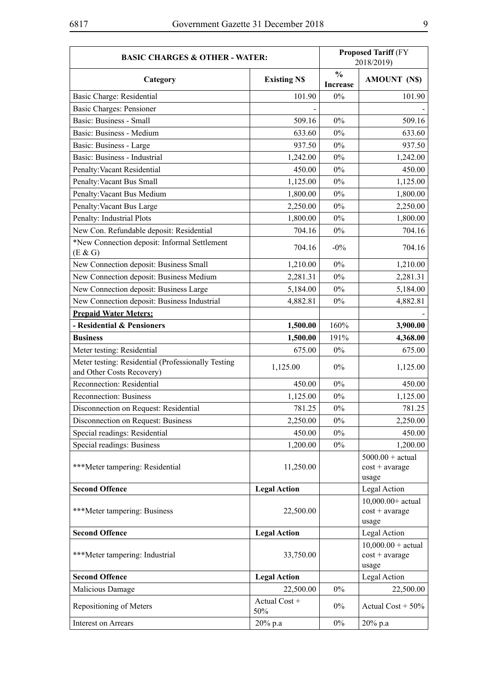| <b>BASIC CHARGES &amp; OTHER - WATER:</b>                                       |                      |                                  | <b>Proposed Tariff (FY)</b><br>2018/2019)         |
|---------------------------------------------------------------------------------|----------------------|----------------------------------|---------------------------------------------------|
| Category                                                                        | <b>Existing NS</b>   | $\frac{0}{0}$<br><b>Increase</b> | <b>AMOUNT (N\$)</b>                               |
| Basic Charge: Residential                                                       | 101.90               | 0%                               | 101.90                                            |
| <b>Basic Charges: Pensioner</b>                                                 |                      |                                  |                                                   |
| Basic: Business - Small                                                         | 509.16               | 0%                               | 509.16                                            |
| Basic: Business - Medium                                                        | 633.60               | $0\%$                            | 633.60                                            |
| Basic: Business - Large                                                         | 937.50               | $0\%$                            | 937.50                                            |
| Basic: Business - Industrial                                                    | 1,242.00             | $0\%$                            | 1,242.00                                          |
| Penalty: Vacant Residential                                                     | 450.00               | $0\%$                            | 450.00                                            |
| Penalty: Vacant Bus Small                                                       | 1,125.00             | $0\%$                            | 1,125.00                                          |
| Penalty: Vacant Bus Medium                                                      | 1,800.00             | $0\%$                            | 1,800.00                                          |
| Penalty: Vacant Bus Large                                                       | 2,250.00             | $0\%$                            | 2,250.00                                          |
| Penalty: Industrial Plots                                                       | 1,800.00             | $0\%$                            | 1,800.00                                          |
| New Con. Refundable deposit: Residential                                        | 704.16               | $0\%$                            | 704.16                                            |
| *New Connection deposit: Informal Settlement<br>(E & G)                         | 704.16               | $-0\%$                           | 704.16                                            |
| New Connection deposit: Business Small                                          | 1,210.00             | $0\%$                            | 1,210.00                                          |
| New Connection deposit: Business Medium                                         | 2,281.31             | $0\%$                            | 2,281.31                                          |
| New Connection deposit: Business Large                                          | 5,184.00             | $0\%$                            | 5,184.00                                          |
| New Connection deposit: Business Industrial                                     | 4,882.81             | $0\%$                            | 4,882.81                                          |
| <b>Prepaid Water Meters:</b>                                                    |                      |                                  |                                                   |
| - Residential & Pensioners                                                      | 1,500.00             | 160%                             | 3,900.00                                          |
| <b>Business</b>                                                                 | 1,500.00             | 191%                             | 4,368.00                                          |
| Meter testing: Residential                                                      | 675.00               | $0\%$                            | 675.00                                            |
| Meter testing: Residential (Professionally Testing<br>and Other Costs Recovery) | 1,125.00             | $0\%$                            | 1,125.00                                          |
| Reconnection: Residential                                                       | 450.00               | $0\%$                            | 450.00                                            |
| Reconnection: Business                                                          | 1,125.00             | $0\%$                            | 1,125.00                                          |
| Disconnection on Request: Residential                                           | 781.25               | $0\%$                            | 781.25                                            |
| Disconnection on Request: Business                                              | 2,250.00             | $0\%$                            | 2,250.00                                          |
| Special readings: Residential                                                   | 450.00               | $0\%$                            | 450.00                                            |
| Special readings: Business                                                      | 1,200.00             | $0\%$                            | 1,200.00                                          |
| ***Meter tampering: Residential                                                 | 11,250.00            |                                  | $5000.00 + actual$<br>$cost + average$<br>usage   |
| <b>Second Offence</b>                                                           | <b>Legal Action</b>  |                                  | Legal Action                                      |
| ***Meter tampering: Business                                                    | 22,500.00            |                                  | $10,000.00+actual$<br>$cost + average$<br>usage   |
| <b>Second Offence</b>                                                           | <b>Legal Action</b>  |                                  | Legal Action                                      |
| ***Meter tampering: Industrial                                                  | 33,750.00            |                                  | $10,000.00 + actual$<br>$cost + average$<br>usage |
| <b>Second Offence</b>                                                           | <b>Legal Action</b>  |                                  | Legal Action                                      |
| Malicious Damage                                                                | 22,500.00            | $0\%$                            | 22,500.00                                         |
| Repositioning of Meters                                                         | Actual Cost +<br>50% | $0\%$                            | Actual Cost + $50\%$                              |
| Interest on Arrears                                                             | 20% p.a              | $0\%$                            | 20% p.a                                           |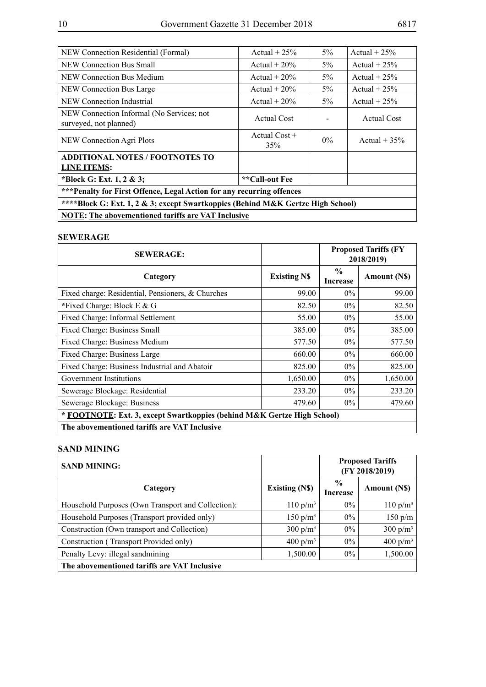| NEW Connection Residential (Formal)                                             | Actual $+25%$          | $5\%$ | Actual $+25%$   |  |  |  |
|---------------------------------------------------------------------------------|------------------------|-------|-----------------|--|--|--|
| NEW Connection Bus Small                                                        | Actual $+20%$          | $5\%$ | Actual $+25%$   |  |  |  |
| NEW Connection Bus Medium                                                       | Actual $+20\%$         | $5\%$ | Actual + $25%$  |  |  |  |
| NEW Connection Bus Large                                                        | Actual $+20\%$         | $5\%$ | Actual $+25%$   |  |  |  |
| NEW Connection Industrial                                                       | Actual $+20\%$         | $5\%$ | Actual + $25%$  |  |  |  |
| NEW Connection Informal (No Services; not<br>surveyed, not planned)             | <b>Actual Cost</b>     |       | Actual Cost     |  |  |  |
| NEW Connection Agri Plots                                                       | Actual $Cost +$<br>35% | $0\%$ | Actual + $35\%$ |  |  |  |
| <b>ADDITIONAL NOTES / FOOTNOTES TO</b>                                          |                        |       |                 |  |  |  |
| <b>LINE ITEMS:</b>                                                              |                        |       |                 |  |  |  |
| *Block G: Ext. 1, 2 & 3;                                                        | **Call-out Fee         |       |                 |  |  |  |
| *** Penalty for First Offence, Legal Action for any recurring offences          |                        |       |                 |  |  |  |
| ****Block G: Ext. 1, 2 & 3; except Swartkoppies (Behind M&K Gertze High School) |                        |       |                 |  |  |  |
| <b>NOTE:</b> The abovementioned tariffs are VAT Inclusive                       |                        |       |                 |  |  |  |

#### **SEWERAGE**

| <b>SEWERAGE:</b>                                                        |                    | <b>Proposed Tariffs (FY</b><br>2018/2019) |              |
|-------------------------------------------------------------------------|--------------------|-------------------------------------------|--------------|
| Category                                                                | <b>Existing NS</b> | $\frac{0}{0}$<br><b>Increase</b>          | Amount (N\$) |
| Fixed charge: Residential, Pensioners, & Churches                       | 99.00              | $0\%$                                     | 99.00        |
| *Fixed Charge: Block $E \& G$                                           | 82.50              | $0\%$                                     | 82.50        |
| Fixed Charge: Informal Settlement                                       | 55.00              | $0\%$                                     | 55.00        |
| Fixed Charge: Business Small                                            | 385.00             | $0\%$                                     | 385.00       |
| Fixed Charge: Business Medium                                           | 577.50             | $0\%$                                     | 577.50       |
| Fixed Charge: Business Large                                            | 660.00             | $0\%$                                     | 660.00       |
| Fixed Charge: Business Industrial and Abatoir                           | 825.00             | $0\%$                                     | 825.00       |
| Government Institutions                                                 | 1,650.00           | $0\%$                                     | 1,650.00     |
| Sewerage Blockage: Residential                                          | 233.20             | $0\%$                                     | 233.20       |
| Sewerage Blockage: Business                                             | 479.60             | $0\%$                                     | 479.60       |
| * FOOTNOTE: Ext. 3, except Swartkoppies (behind M&K Gertze High School) |                    |                                           |              |
| The abovementioned tariffs are VAT Inclusive                            |                    |                                           |              |

### **SAND MINING**

| <b>SAND MINING:</b>                                |                      | <b>Proposed Tariffs</b><br>(FY 2018/2019) |                     |
|----------------------------------------------------|----------------------|-------------------------------------------|---------------------|
| Category                                           | <b>Existing (NS)</b> | $\frac{6}{9}$<br><b>Increase</b>          | <b>Amount</b> (NS)  |
| Household Purposes (Own Transport and Collection): | $110 \text{ p/m}^3$  | $0\%$                                     | $110 \text{ p/m}^3$ |
| Household Purposes (Transport provided only)       | $150 \text{ p/m}^3$  | $0\%$                                     | 150 p/m             |
| Construction (Own transport and Collection)        | 300 $p/m^3$          | $0\%$                                     | 300 $p/m^3$         |
| Construction (Transport Provided only)             | 400 $p/m^3$          | $0\%$                                     | 400 $p/m^3$         |
| Penalty Levy: illegal sandmining                   | 1,500.00             | $0\%$                                     | 1,500.00            |
| The abovementioned tariffs are VAT Inclusive       |                      |                                           |                     |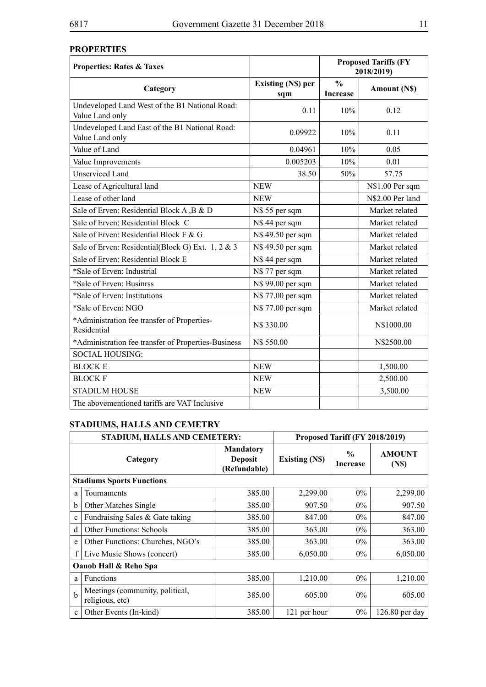# **PROPERTIES**

| <b>Properties: Rates &amp; Taxes</b>                              |                                  | <b>Proposed Tariffs (FY</b><br>2018/2019) |                    |
|-------------------------------------------------------------------|----------------------------------|-------------------------------------------|--------------------|
| Category                                                          | <b>Existing (N\$) per</b><br>sqm | $\frac{0}{0}$<br><b>Increase</b>          | <b>Amount (NS)</b> |
| Undeveloped Land West of the B1 National Road:<br>Value Land only | 0.11                             | 10%                                       | 0.12               |
| Undeveloped Land East of the B1 National Road:<br>Value Land only | 0.09922                          | 10%                                       | 0.11               |
| Value of Land                                                     | 0.04961                          | 10%                                       | 0.05               |
| Value Improvements                                                | 0.005203                         | 10%                                       | 0.01               |
| <b>Unserviced Land</b>                                            | 38.50                            | 50%                                       | 57.75              |
| Lease of Agricultural land                                        | <b>NEW</b>                       |                                           | N\$1.00 Per sqm    |
| Lease of other land                                               | <b>NEW</b>                       |                                           | N\$2.00 Per land   |
| Sale of Erven: Residential Block A, B & D                         | N\$ 55 per sqm                   |                                           | Market related     |
| Sale of Erven: Residential Block C                                | N\$ 44 per sqm                   |                                           | Market related     |
| Sale of Erven: Residential Block F & G                            | N\$ 49.50 per sqm                |                                           | Market related     |
| Sale of Erven: Residential(Block G) Ext. 1, 2 & 3                 | N\$ 49.50 per sqm                |                                           | Market related     |
| Sale of Erven: Residential Block E                                | N\$ 44 per sqm                   |                                           | Market related     |
| *Sale of Erven: Industrial                                        | N\$ 77 per sqm                   |                                           | Market related     |
| *Sale of Erven: Businrss                                          | N\$ 99.00 per sqm                |                                           | Market related     |
| *Sale of Erven: Institutions                                      | N\$ 77.00 per sqm                |                                           | Market related     |
| *Sale of Erven: NGO                                               | N\$ 77.00 per sqm                |                                           | Market related     |
| *Administration fee transfer of Properties-<br>Residential        | N\$ 330.00                       |                                           | N\$1000.00         |
| *Administration fee transfer of Properties-Business               | N\$ 550.00                       |                                           | N\$2500.00         |
| <b>SOCIAL HOUSING:</b>                                            |                                  |                                           |                    |
| <b>BLOCK E</b>                                                    | <b>NEW</b>                       |                                           | 1,500.00           |
| <b>BLOCK F</b>                                                    | <b>NEW</b>                       |                                           | 2,500.00           |
| <b>STADIUM HOUSE</b>                                              | <b>NEW</b>                       |                                           | 3,500.00           |
| The abovementioned tariffs are VAT Inclusive                      |                                  |                                           |                    |

# **Stadiums, Halls and Cemetry**

| STADIUM, HALLS AND CEMETERY:     |                                                    |                                                    | Proposed Tariff (FY 2018/2019) |                                  |                                    |
|----------------------------------|----------------------------------------------------|----------------------------------------------------|--------------------------------|----------------------------------|------------------------------------|
| Category                         |                                                    | <b>Mandatory</b><br><b>Deposit</b><br>(Refundable) | <b>Existing (NS)</b>           | $\frac{0}{0}$<br><b>Increase</b> | <b>AMOUNT</b><br>(N <sub>s</sub> ) |
| <b>Stadiums Sports Functions</b> |                                                    |                                                    |                                |                                  |                                    |
| a                                | Tournaments                                        | 385.00                                             | 2,299.00                       | $0\%$                            | 2,299.00                           |
| b                                | <b>Other Matches Single</b>                        | 385.00                                             | 907.50                         | $0\%$                            | 907.50                             |
| $\mathbf{c}$                     | Fundraising Sales & Gate taking                    | 385.00                                             | 847.00                         | $0\%$                            | 847.00                             |
| d                                | <b>Other Functions: Schools</b>                    | 385.00                                             | 363.00                         | $0\%$                            | 363.00                             |
| e                                | Other Functions: Churches, NGO's                   | 385.00                                             | 363.00                         | $0\%$                            | 363.00                             |
| $\mathbf{f}$                     | Live Music Shows (concert)                         | 385.00                                             | 6,050.00                       | $0\%$                            | 6,050.00                           |
| Oanob Hall & Reho Spa            |                                                    |                                                    |                                |                                  |                                    |
| a                                | <b>Functions</b>                                   | 385.00                                             | 1,210.00                       | $0\%$                            | 1,210.00                           |
| $\mathbf b$                      | Meetings (community, political,<br>religious, etc) | 385.00                                             | 605.00                         | $0\%$                            | 605.00                             |
| $\mathbf{c}$                     | Other Events (In-kind)                             | 385.00                                             | 121 per hour                   | $0\%$                            | 126.80 per day                     |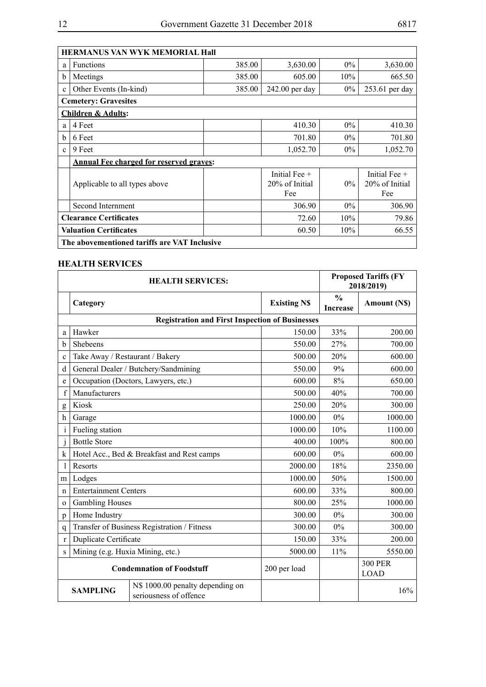|              | <b>HERMANUS VAN WYK MEMORIAL Hall</b>                  |        |                                   |       |                                   |  |
|--------------|--------------------------------------------------------|--------|-----------------------------------|-------|-----------------------------------|--|
| a            | <b>Functions</b>                                       | 385.00 | 3,630.00                          | $0\%$ | 3,630.00                          |  |
| b            | Meetings                                               | 385.00 | 605.00                            | 10%   | 665.50                            |  |
| $\mathbf{c}$ | Other Events (In-kind)                                 | 385.00 | $242.00$ per day                  | $0\%$ | 253.61 per day                    |  |
|              | <b>Cemetery: Gravesites</b>                            |        |                                   |       |                                   |  |
|              | <b>Children &amp; Adults:</b>                          |        |                                   |       |                                   |  |
| a            | 4 Feet                                                 |        | 410.30                            | $0\%$ | 410.30                            |  |
| b            | 6 Feet                                                 |        | 701.80                            | $0\%$ | 701.80                            |  |
| $\mathbf{c}$ | 9 Feet                                                 |        | 1,052.70                          | $0\%$ | 1,052.70                          |  |
|              | <b>Annual Fee charged for reserved graves:</b>         |        |                                   |       |                                   |  |
|              | Applicable to all types above                          |        | Initial Fee $+$<br>20% of Initial | $0\%$ | Initial Fee $+$<br>20% of Initial |  |
|              |                                                        |        | Fee                               |       | Fee                               |  |
|              | Second Internment                                      |        | 306.90                            | $0\%$ | 306.90                            |  |
|              | <b>Clearance Certificates</b>                          | 72.60  | 10%                               | 79.86 |                                   |  |
|              | <b>Valuation Certificates</b><br>10%<br>66.55<br>60.50 |        |                                   |       |                                   |  |
|              | The abovementioned tariffs are VAT Inclusive           |        |                                   |       |                                   |  |

#### **HEALTH SERVICES**

|              | <b>HEALTH SERVICES:</b>                          |                                                            |                    |                                  | <b>Proposed Tariffs (FY</b><br>2018/2019) |
|--------------|--------------------------------------------------|------------------------------------------------------------|--------------------|----------------------------------|-------------------------------------------|
|              | Category                                         |                                                            | <b>Existing NS</b> | $\frac{0}{0}$<br><b>Increase</b> | Amount (N\$)                              |
|              |                                                  | <b>Registration and First Inspection of Businesses</b>     |                    |                                  |                                           |
| a            | Hawker                                           |                                                            | 150.00             | 33%                              | 200.00                                    |
| b            | Shebeens                                         |                                                            | 550.00             | 27%                              | 700.00                                    |
| $\mathbf{c}$ | Take Away / Restaurant / Bakery                  |                                                            | 500.00             | 20%                              | 600.00                                    |
| d            |                                                  | General Dealer / Butchery/Sandmining                       | 550.00             | 9%                               | 600.00                                    |
| e            |                                                  | Occupation (Doctors, Lawyers, etc.)                        | 600.00             | 8%                               | 650.00                                    |
| $\mathbf f$  | Manufacturers                                    |                                                            | 500.00             | 40%                              | 700.00                                    |
| g            | Kiosk                                            |                                                            | 250.00             | 20%                              | 300.00                                    |
| h            | Garage                                           |                                                            | 1000.00            | 0%                               | 1000.00                                   |
| i            | Fueling station                                  |                                                            | 1000.00            | 10%                              | 1100.00                                   |
| $\mathbf{J}$ | <b>Bottle Store</b>                              |                                                            | 400.00             | 100%                             | 800.00                                    |
| k            |                                                  | Hotel Acc., Bed & Breakfast and Rest camps                 | 600.00             | 0%                               | 600.00                                    |
|              | Resorts                                          |                                                            | 2000.00            | 18%                              | 2350.00                                   |
| m            | Lodges                                           |                                                            | 1000.00            | 50%                              | 1500.00                                   |
| $\mathsf{n}$ | <b>Entertainment Centers</b>                     |                                                            | 600.00             | 33%                              | 800.00                                    |
| $\Omega$     | <b>Gambling Houses</b>                           |                                                            | 800.00             | 25%                              | 1000.00                                   |
| p            | Home Industry                                    |                                                            | 300.00             | 0%                               | 300.00                                    |
| q            |                                                  | Transfer of Business Registration / Fitness                | 300.00             | 0%                               | 300.00                                    |
| $\mathbf{r}$ | Duplicate Certificate                            |                                                            | 150.00             | 33%                              | 200.00                                    |
| S            | Mining (e.g. Huxia Mining, etc.)                 |                                                            | 5000.00            | 11%                              | 5550.00                                   |
|              | <b>Condemnation of Foodstuff</b><br>200 per load |                                                            |                    |                                  | <b>300 PER</b><br><b>LOAD</b>             |
|              | <b>SAMPLING</b>                                  | N\$ 1000.00 penalty depending on<br>seriousness of offence |                    |                                  | 16%                                       |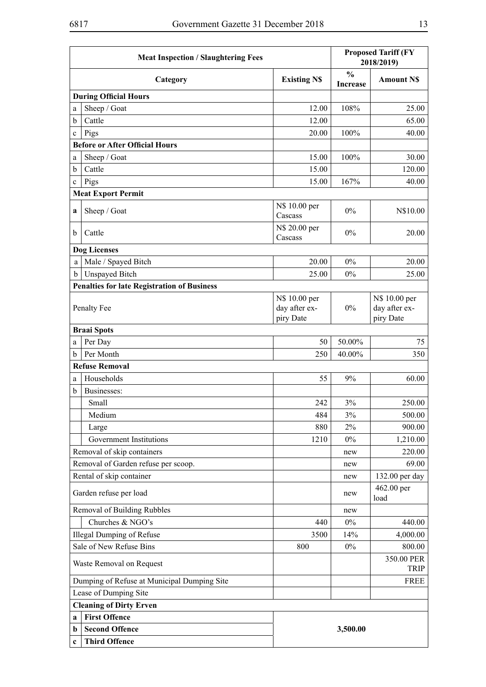|             | <b>Meat Inspection / Slaughtering Fees</b>         |                                             | <b>Proposed Tariff (FY</b><br>2018/2019) |                                             |
|-------------|----------------------------------------------------|---------------------------------------------|------------------------------------------|---------------------------------------------|
|             | Category                                           | <b>Existing NS</b>                          | $\frac{0}{0}$<br><b>Increase</b>         | <b>Amount NS</b>                            |
|             | <b>During Official Hours</b>                       |                                             |                                          |                                             |
| a           | Sheep / Goat                                       | 12.00                                       | 108%                                     | 25.00                                       |
| b           | Cattle                                             | 12.00                                       |                                          | 65.00                                       |
| c           | Pigs                                               | 20.00                                       | 100%                                     | 40.00                                       |
|             | <b>Before or After Official Hours</b>              |                                             |                                          |                                             |
| a           | Sheep / Goat                                       | 15.00                                       | 100%                                     | 30.00                                       |
| b           | Cattle                                             | 15.00                                       |                                          | 120.00                                      |
| $\mathbf c$ | Pigs                                               | 15.00                                       | 167%                                     | 40.00                                       |
|             | <b>Meat Export Permit</b>                          |                                             |                                          |                                             |
| a           | Sheep / Goat                                       | N\$ 10.00 per<br>Cascass                    | 0%                                       | N\$10.00                                    |
| $\mathbf b$ | Cattle                                             | N\$ 20.00 per<br>Cascass                    | $0\%$                                    | 20.00                                       |
|             | <b>Dog Licenses</b>                                |                                             |                                          |                                             |
| a           | Male / Spayed Bitch                                | 20.00                                       | $0\%$                                    | 20.00                                       |
| $\mathbf b$ | <b>Unspayed Bitch</b>                              | 25.00                                       | 0%                                       | 25.00                                       |
|             | <b>Penalties for late Registration of Business</b> |                                             |                                          |                                             |
|             | Penalty Fee                                        | N\$ 10.00 per<br>day after ex-<br>piry Date | $0\%$                                    | N\$ 10.00 per<br>day after ex-<br>piry Date |
|             | <b>Braai Spots</b>                                 |                                             |                                          |                                             |
| a           | Per Day                                            | 50                                          | 50.00%                                   | 75                                          |
| b           | Per Month                                          | 250                                         | 40.00%                                   | 350                                         |
|             | <b>Refuse Removal</b>                              |                                             |                                          |                                             |
| a           | Households                                         | 55                                          | 9%                                       | 60.00                                       |
| b           | Businesses:                                        |                                             |                                          |                                             |
|             | Small                                              | 242                                         | 3%                                       | 250.00                                      |
|             | Medium                                             | 484                                         | 3%                                       | 500.00                                      |
|             | Large                                              | 880                                         | 2%                                       | 900.00                                      |
|             | Government Institutions                            | 1210                                        | $0\%$                                    | 1,210.00                                    |
|             | Removal of skip containers                         |                                             | new                                      | 220.00                                      |
|             | Removal of Garden refuse per scoop.                |                                             | new                                      | 69.00                                       |
|             | Rental of skip container                           |                                             | new                                      | 132.00 per day                              |
|             | Garden refuse per load                             |                                             | new                                      | 462.00 per<br>load                          |
|             | Removal of Building Rubbles                        |                                             | new                                      |                                             |
|             | Churches & NGO's                                   | 440                                         | $0\%$                                    | 440.00                                      |
|             | <b>Illegal Dumping of Refuse</b>                   | 3500                                        | 14%                                      | 4,000.00                                    |
|             | Sale of New Refuse Bins                            | 800                                         | $0\%$                                    | 800.00                                      |
|             | Waste Removal on Request                           |                                             |                                          | 350.00 PER<br><b>TRIP</b>                   |
|             | Dumping of Refuse at Municipal Dumping Site        |                                             |                                          | <b>FREE</b>                                 |
|             | Lease of Dumping Site                              |                                             |                                          |                                             |
|             | <b>Cleaning of Dirty Erven</b>                     |                                             |                                          |                                             |
| a           | <b>First Offence</b>                               |                                             |                                          |                                             |
| $\mathbf b$ | <b>Second Offence</b>                              |                                             | 3,500.00                                 |                                             |
| c           | <b>Third Offence</b>                               |                                             |                                          |                                             |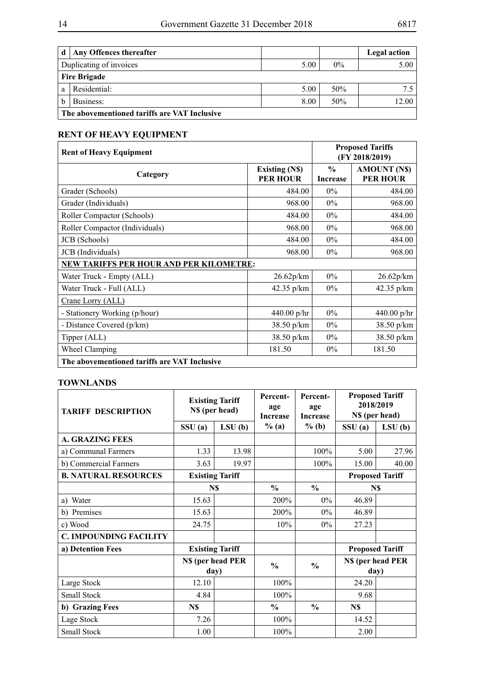| d | Any Offences thereafter                      |      |       | Legal action |
|---|----------------------------------------------|------|-------|--------------|
|   | Duplicating of invoices                      | 5.00 | $0\%$ | 5.00         |
|   | <b>Fire Brigade</b>                          |      |       |              |
| a | Residential:                                 | 5.00 | 50%   | 75           |
| b | Business:                                    | 8.00 | 50%   | 12.00        |
|   | The abovementioned tariffs are VAT Inclusive |      |       |              |

# **RENT OF HEAVY EQUIPMENT**

| <b>Rent of Heavy Equipment</b>                 |                                   |                                  | <b>Proposed Tariffs</b><br>(FY 2018/2019) |  |  |  |
|------------------------------------------------|-----------------------------------|----------------------------------|-------------------------------------------|--|--|--|
| Category                                       | Existing (N\$)<br><b>PER HOUR</b> | $\frac{0}{0}$<br><b>Increase</b> | <b>AMOUNT (N\$)</b><br><b>PER HOUR</b>    |  |  |  |
| Grader (Schools)                               | 484.00                            | $0\%$                            | 484.00                                    |  |  |  |
| Grader (Individuals)                           | 968.00                            | $0\%$                            | 968.00                                    |  |  |  |
| Roller Compactor (Schools)                     | 484.00                            | $0\%$                            | 484.00                                    |  |  |  |
| Roller Compactor (Individuals)                 | 968.00                            | $0\%$                            | 968.00                                    |  |  |  |
| JCB (Schools)                                  | 484.00                            | $0\%$                            | 484.00                                    |  |  |  |
| JCB (Individuals)                              | 968.00                            | $0\%$                            | 968.00                                    |  |  |  |
| <b>NEW TARIFFS PER HOUR AND PER KILOMETRE:</b> |                                   |                                  |                                           |  |  |  |
| Water Truck - Empty (ALL)                      | 26.62p/km                         | $0\%$                            | 26.62p/km                                 |  |  |  |
| Water Truck - Full (ALL)                       | 42.35 $p/km$                      | $0\%$                            | 42.35 $p/km$                              |  |  |  |
| Crane Lorry (ALL)                              |                                   |                                  |                                           |  |  |  |
| - Stationery Working (p/hour)                  | $440.00$ p/hr                     | $0\%$                            | $440.00$ p/hr                             |  |  |  |
| - Distance Covered (p/km)                      | 38.50 p/km                        | $0\%$                            | 38.50 p/km                                |  |  |  |
| Tipper (ALL)                                   | $38.50 \text{ p/km}$              | $0\%$                            | 38.50 p/km                                |  |  |  |
| Wheel Clamping                                 | 181.50                            | $0\%$                            | 181.50                                    |  |  |  |
| The abovementioned tariffs are VAT Inclusive   |                                   |                                  |                                           |  |  |  |

#### **TOWNLANDS**

| <b>TARIFF DESCRIPTION</b>     |                           | <b>Existing Tariff</b><br>N\$ (per head) | Percent-<br>age<br><b>Increase</b> | Percent-<br>age<br><b>Increase</b> | 2018/2019<br>N\$ (per head) | <b>Proposed Tariff</b> |
|-------------------------------|---------------------------|------------------------------------------|------------------------------------|------------------------------------|-----------------------------|------------------------|
|                               | SSU(a)                    | LSU(b)                                   | $%$ (a)                            | $%$ (b)                            | SSU(a)                      | LSU(b)                 |
| <b>A. GRAZING FEES</b>        |                           |                                          |                                    |                                    |                             |                        |
| a) Communal Farmers           | 1.33                      | 13.98                                    |                                    | 100%                               | 5.00                        | 27.96                  |
| b) Commercial Farmers         | 3.63                      | 19.97                                    |                                    | 100%                               | 15.00                       | 40.00                  |
| <b>B. NATURAL RESOURCES</b>   |                           | <b>Existing Tariff</b>                   |                                    |                                    |                             | <b>Proposed Tariff</b> |
|                               |                           | N\$                                      | $\frac{0}{0}$                      | $\frac{0}{0}$                      | N\$                         |                        |
| a) Water                      | 15.63                     |                                          | 200%                               | $0\%$                              | 46.89                       |                        |
| b) Premises                   | 15.63                     |                                          | 200%                               | $0\%$                              | 46.89                       |                        |
| c) Wood                       | 24.75                     |                                          | 10%                                | $0\%$                              | 27.23                       |                        |
| <b>C. IMPOUNDING FACILITY</b> |                           |                                          |                                    |                                    |                             |                        |
| a) Detention Fees             |                           | <b>Existing Tariff</b>                   |                                    |                                    |                             | <b>Proposed Tariff</b> |
|                               | N\$ (per head PER<br>day) |                                          | $\frac{6}{6}$                      | $\frac{0}{0}$                      | N\$ (per head PER<br>day)   |                        |
| Large Stock                   | 12.10                     |                                          | 100%                               |                                    | 24.20                       |                        |
| Small Stock                   | 4.84                      |                                          | 100%                               |                                    | 9.68                        |                        |
| b) Grazing Fees               | N\$                       |                                          | $\frac{6}{6}$                      | $\frac{6}{6}$                      | N\$                         |                        |
| Lage Stock                    | 7.26                      |                                          | 100%                               |                                    | 14.52                       |                        |
| Small Stock                   | 1.00                      |                                          | 100%                               |                                    | 2.00                        |                        |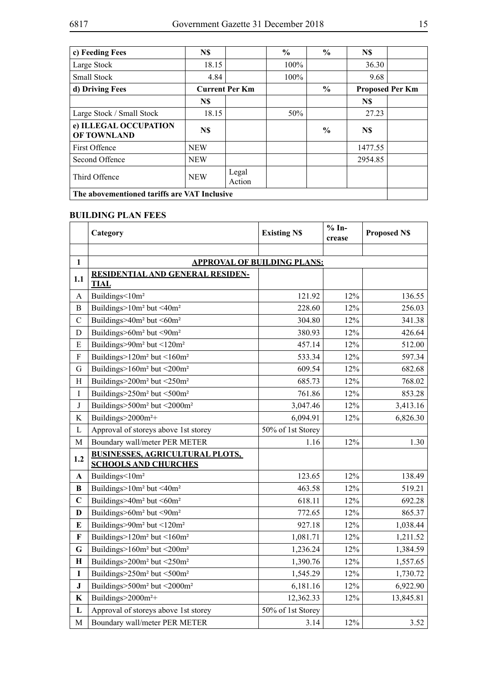| c) Feeding Fees                              | N\$                   |                 | $\frac{0}{0}$ | $\frac{0}{0}$ | N\$     |                        |
|----------------------------------------------|-----------------------|-----------------|---------------|---------------|---------|------------------------|
| Large Stock                                  | 18.15                 |                 | 100%          |               | 36.30   |                        |
| <b>Small Stock</b>                           | 4.84                  |                 | 100%          |               | 9.68    |                        |
| d) Driving Fees                              | <b>Current Per Km</b> |                 |               | $\frac{6}{6}$ |         | <b>Proposed Per Km</b> |
|                                              | N\$                   |                 |               |               | N\$     |                        |
| Large Stock / Small Stock                    | 18.15                 |                 | 50%           |               | 27.23   |                        |
| e) ILLEGAL OCCUPATION<br><b>OF TOWNLAND</b>  | N\$                   |                 |               | $\frac{0}{0}$ | N\$     |                        |
| <b>First Offence</b>                         | <b>NEW</b>            |                 |               |               | 1477.55 |                        |
| Second Offence                               | <b>NEW</b>            |                 |               |               | 2954.85 |                        |
| Third Offence                                | <b>NEW</b>            | Legal<br>Action |               |               |         |                        |
| The abovementioned tariffs are VAT Inclusive |                       |                 |               |               |         |                        |

# **BUILDING PLAN FEES**

|                           | Category                                                              | <b>Existing NS</b> | $% In-$<br>crease | <b>Proposed NS</b> |  |  |  |
|---------------------------|-----------------------------------------------------------------------|--------------------|-------------------|--------------------|--|--|--|
|                           |                                                                       |                    |                   |                    |  |  |  |
| $\mathbf{1}$              | <b>APPROVAL OF BUILDING PLANS:</b>                                    |                    |                   |                    |  |  |  |
| 1.1                       | RESIDENTIAL AND GENERAL RESIDEN-<br><b>TIAL</b>                       |                    |                   |                    |  |  |  |
| A                         | Buildings<10m <sup>2</sup>                                            | 121.92             | 12%               | 136.55             |  |  |  |
| B                         | Buildings>10m <sup>2</sup> but <40m <sup>2</sup>                      | 228.60             | 12%               | 256.03             |  |  |  |
| $\mathcal{C}$             | Buildings>40m <sup>2</sup> but <60m <sup>2</sup>                      | 304.80             | 12%               | 341.38             |  |  |  |
| $\mathbf D$               | Buildings>60m <sup>2</sup> but <90m <sup>2</sup>                      | 380.93             | 12%               | 426.64             |  |  |  |
| ${\bf E}$                 | Buildings>90m <sup>2</sup> but <120m <sup>2</sup>                     | 457.14             | 12%               | 512.00             |  |  |  |
| $\overline{F}$            | Buildings>120m <sup>2</sup> but <160m <sup>2</sup>                    | 533.34             | 12%               | 597.34             |  |  |  |
| G                         | Buildings>160m <sup>2</sup> but <200m <sup>2</sup>                    | 609.54             | 12%               | 682.68             |  |  |  |
| H                         | Buildings>200m <sup>2</sup> but <250m <sup>2</sup>                    | 685.73             | 12%               | 768.02             |  |  |  |
| $\mathbf I$               | Buildings>250m <sup>2</sup> but <500m <sup>2</sup>                    | 761.86             | 12%               | 853.28             |  |  |  |
| $\bf J$                   | Buildings>500m <sup>2</sup> but <2000m <sup>2</sup>                   | 3,047.46           | 12%               | 3,413.16           |  |  |  |
| K                         | Buildings>2000m <sup>2+</sup>                                         | 6,094.91           | 12%               | 6,826.30           |  |  |  |
| $\mathbf L$               | Approval of storeys above 1st storey                                  | 50% of 1st Storey  |                   |                    |  |  |  |
| M                         | Boundary wall/meter PER METER                                         | 1.16               | 12%               | 1.30               |  |  |  |
| 1.2                       | <b>BUSINESSES, AGRICULTURAL PLOTS,</b><br><b>SCHOOLS AND CHURCHES</b> |                    |                   |                    |  |  |  |
| A                         | Buildings<10m <sup>2</sup>                                            | 123.65             | 12%               | 138.49             |  |  |  |
| B                         | Buildings>10m <sup>2</sup> but <40m <sup>2</sup>                      | 463.58             | 12%               | 519.21             |  |  |  |
| $\mathbf C$               | Buildings>40m <sup>2</sup> but <60m <sup>2</sup>                      | 618.11             | 12%               | 692.28             |  |  |  |
| $\mathbf{D}$              | Buildings>60m <sup>2</sup> but <90m <sup>2</sup>                      | 772.65             | 12%               | 865.37             |  |  |  |
| ${\bf E}$                 | Buildings>90m <sup>2</sup> but <120m <sup>2</sup>                     | 927.18             | 12%               | 1,038.44           |  |  |  |
| $\boldsymbol{\mathrm{F}}$ | Buildings>120m <sup>2</sup> but <160m <sup>2</sup>                    | 1,081.71           | 12%               | 1,211.52           |  |  |  |
| G                         | Buildings>160m <sup>2</sup> but <200m <sup>2</sup>                    | 1,236.24           | 12%               | 1,384.59           |  |  |  |
| $\mathbf H$               | Buildings>200m <sup>2</sup> but <250m <sup>2</sup>                    | 1,390.76           | 12%               | 1,557.65           |  |  |  |
| $\mathbf I$               | Buildings>250m <sup>2</sup> but <500m <sup>2</sup>                    | 1,545.29           | 12%               | 1,730.72           |  |  |  |
| ${\bf J}$                 | Buildings>500m <sup>2</sup> but <2000m <sup>2</sup>                   | 6,181.16           | 12%               | 6,922.90           |  |  |  |
| K                         | Buildings>2000m <sup>2+</sup>                                         | 12,362.33          | 12%               | 13,845.81          |  |  |  |
| L                         | Approval of storeys above 1st storey                                  | 50% of 1st Storey  |                   |                    |  |  |  |
| M                         | Boundary wall/meter PER METER                                         | 3.14               | 12%               | 3.52               |  |  |  |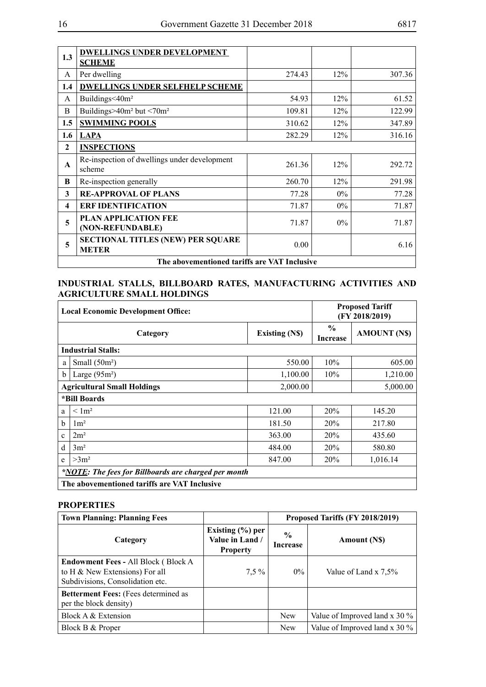| 1.3                                          | <b>DWELLINGS UNDER DEVELOPMENT</b><br><b>SCHEME</b>      |        |       |        |  |
|----------------------------------------------|----------------------------------------------------------|--------|-------|--------|--|
| A                                            | Per dwelling                                             | 274.43 | 12%   | 307.36 |  |
| 1.4                                          | <b>DWELLINGS UNDER SELFHELP SCHEME</b>                   |        |       |        |  |
| A                                            | Buildings<40m <sup>2</sup>                               | 54.93  | 12%   | 61.52  |  |
| B                                            | Buildings>40 $m2$ but <70 $m2$                           | 109.81 | 12%   | 122.99 |  |
| 1.5                                          | <b>SWIMMING POOLS</b>                                    | 310.62 | 12%   | 347.89 |  |
| 1.6                                          | <b>LAPA</b>                                              | 282.29 | 12%   | 316.16 |  |
| $\mathbf{2}$                                 | <b>INSPECTIONS</b>                                       |        |       |        |  |
| $\mathbf{A}$                                 | Re-inspection of dwellings under development<br>scheme   | 261.36 | 12%   | 292.72 |  |
| B                                            | Re-inspection generally                                  | 260.70 | 12%   | 291.98 |  |
| 3                                            | <b>RE-APPROVAL OF PLANS</b>                              | 77.28  | $0\%$ | 77.28  |  |
| $\overline{\mathbf{4}}$                      | <b>ERF IDENTIFICATION</b>                                | 71.87  | $0\%$ | 71.87  |  |
| 5                                            | <b>PLAN APPLICATION FEE</b><br>(NON-REFUNDABLE)          | 71.87  | $0\%$ | 71.87  |  |
| 5                                            | <b>SECTIONAL TITLES (NEW) PER SQUARE</b><br><b>METER</b> | 0.00   |       | 6.16   |  |
| The abovementioned tariffs are VAT Inclusive |                                                          |        |       |        |  |

# **Industrial Stalls, Billboard Rates, Manufacturing Activities and Agriculture Small Holdings**

| <b>Local Economic Development Office:</b>                   |                                              |                      | <b>Proposed Tariff</b><br>(FY 2018/2019) |                     |  |  |
|-------------------------------------------------------------|----------------------------------------------|----------------------|------------------------------------------|---------------------|--|--|
|                                                             | Category                                     | <b>Existing (NS)</b> | $\frac{0}{0}$<br><b>Increase</b>         | <b>AMOUNT (N\$)</b> |  |  |
|                                                             | <b>Industrial Stalls:</b>                    |                      |                                          |                     |  |  |
| a                                                           | Small $(50m^2)$                              | 550.00               | 10%                                      | 605.00              |  |  |
| b                                                           | Large $(95m^2)$                              | 1,100.00             | 10%                                      | 1,210.00            |  |  |
|                                                             | <b>Agricultural Small Holdings</b>           | 2,000.00             |                                          | 5,000.00            |  |  |
|                                                             | *Bill Boards                                 |                      |                                          |                     |  |  |
| a                                                           | < 1 <sup>m2</sup>                            | 121.00               | 20%                                      | 145.20              |  |  |
| $\mathbf b$                                                 | $1 \text{m}^2$                               | 181.50               | 20%                                      | 217.80              |  |  |
| $\mathbf{c}$                                                | 2m <sup>2</sup>                              | 363.00               | 20%                                      | 435.60              |  |  |
| d                                                           | 3m <sup>2</sup>                              | 484.00               | 20%                                      | 580.80              |  |  |
| e                                                           | $>3m^2$                                      | 847.00               | 20%                                      | 1,016.14            |  |  |
| <i>*NOTE:</i> The fees for Billboards are charged per month |                                              |                      |                                          |                     |  |  |
|                                                             | The abovementioned tariffs are VAT Inclusive |                      |                                          |                     |  |  |

# **PROPERTIES**

| <b>Town Planning: Planning Fees</b>                                                                               |                                                            | Proposed Tariffs (FY 2018/2019)  |                                  |  |
|-------------------------------------------------------------------------------------------------------------------|------------------------------------------------------------|----------------------------------|----------------------------------|--|
| Category                                                                                                          | Existing $(\% )$ per<br>Value in Land /<br><b>Property</b> | $\frac{6}{9}$<br><b>Increase</b> | <b>Amount (NS)</b>               |  |
| <b>Endowment Fees - All Block (Block A)</b><br>to H & New Extensions) For all<br>Subdivisions, Consolidation etc. | $7.5\%$                                                    | $0\%$                            | Value of Land x 7.5%             |  |
| <b>Betterment Fees:</b> (Fees determined as<br>per the block density)                                             |                                                            |                                  |                                  |  |
| Block A & Extension                                                                                               |                                                            | <b>New</b>                       | Value of Improved land x 30 $\%$ |  |
| Block B & Proper                                                                                                  |                                                            | <b>New</b>                       | Value of Improved land x 30 $\%$ |  |